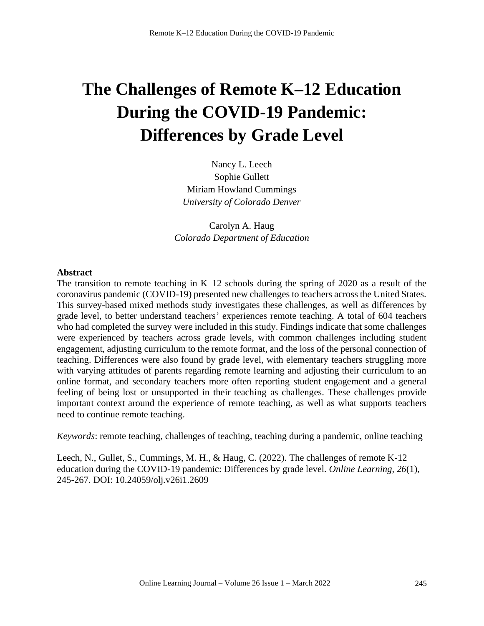# **The Challenges of Remote K–12 Education During the COVID-19 Pandemic: Differences by Grade Level**

Nancy L. Leech Sophie Gullett Miriam Howland Cummings *University of Colorado Denver*

Carolyn A. Haug *Colorado Department of Education*

## **Abstract**

The transition to remote teaching in K–12 schools during the spring of 2020 as a result of the coronavirus pandemic (COVID-19) presented new challenges to teachers across the United States. This survey-based mixed methods study investigates these challenges, as well as differences by grade level, to better understand teachers' experiences remote teaching. A total of 604 teachers who had completed the survey were included in this study. Findings indicate that some challenges were experienced by teachers across grade levels, with common challenges including student engagement, adjusting curriculum to the remote format, and the loss of the personal connection of teaching. Differences were also found by grade level, with elementary teachers struggling more with varying attitudes of parents regarding remote learning and adjusting their curriculum to an online format, and secondary teachers more often reporting student engagement and a general feeling of being lost or unsupported in their teaching as challenges. These challenges provide important context around the experience of remote teaching, as well as what supports teachers need to continue remote teaching.

*Keywords*: remote teaching, challenges of teaching, teaching during a pandemic, online teaching

Leech, N., Gullet, S., Cummings, M. H., & Haug, C. (2022). The challenges of remote K-12 education during the COVID-19 pandemic: Differences by grade level. *Online Learning, 26*(1), 245-267. DOI: 10.24059/olj.v26i1.2609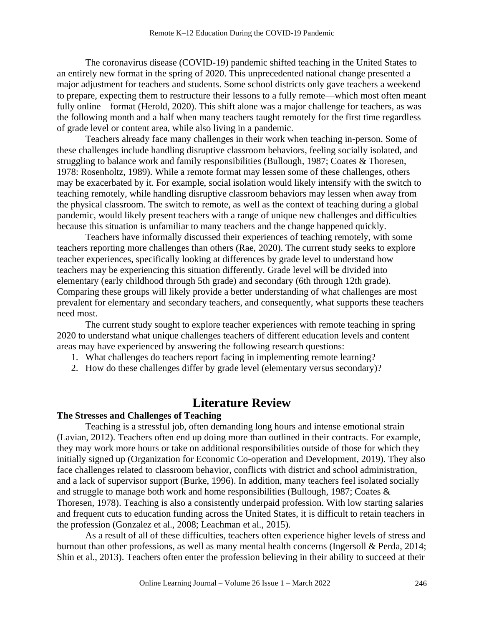The coronavirus disease (COVID-19) pandemic shifted teaching in the United States to an entirely new format in the spring of 2020. This unprecedented national change presented a major adjustment for teachers and students. Some school districts only gave teachers a weekend to prepare, expecting them to restructure their lessons to a fully remote—which most often meant fully online—format (Herold, 2020). This shift alone was a major challenge for teachers, as was the following month and a half when many teachers taught remotely for the first time regardless of grade level or content area, while also living in a pandemic.

Teachers already face many challenges in their work when teaching in-person. Some of these challenges include handling disruptive classroom behaviors, feeling socially isolated, and struggling to balance work and family responsibilities (Bullough, 1987; Coates & Thoresen, 1978: Rosenholtz, 1989). While a remote format may lessen some of these challenges, others may be exacerbated by it. For example, social isolation would likely intensify with the switch to teaching remotely, while handling disruptive classroom behaviors may lessen when away from the physical classroom. The switch to remote, as well as the context of teaching during a global pandemic, would likely present teachers with a range of unique new challenges and difficulties because this situation is unfamiliar to many teachers and the change happened quickly.

Teachers have informally discussed their experiences of teaching remotely, with some teachers reporting more challenges than others (Rae, 2020). The current study seeks to explore teacher experiences, specifically looking at differences by grade level to understand how teachers may be experiencing this situation differently. Grade level will be divided into elementary (early childhood through 5th grade) and secondary (6th through 12th grade). Comparing these groups will likely provide a better understanding of what challenges are most prevalent for elementary and secondary teachers, and consequently, what supports these teachers need most.

The current study sought to explore teacher experiences with remote teaching in spring 2020 to understand what unique challenges teachers of different education levels and content areas may have experienced by answering the following research questions:

- 1. What challenges do teachers report facing in implementing remote learning?
- 2. How do these challenges differ by grade level (elementary versus secondary)?

# **Literature Review**

## **The Stresses and Challenges of Teaching**

Teaching is a stressful job, often demanding long hours and intense emotional strain (Lavian, 2012). Teachers often end up doing more than outlined in their contracts. For example, they may work more hours or take on additional responsibilities outside of those for which they initially signed up (Organization for Economic Co-operation and Development, 2019). They also face challenges related to classroom behavior, conflicts with district and school administration, and a lack of supervisor support (Burke, 1996). In addition, many teachers feel isolated socially and struggle to manage both work and home responsibilities (Bullough, 1987; Coates & Thoresen, 1978). Teaching is also a consistently underpaid profession. With low starting salaries and frequent cuts to education funding across the United States, it is difficult to retain teachers in the profession (Gonzalez et al., 2008; Leachman et al., 2015).

As a result of all of these difficulties, teachers often experience higher levels of stress and burnout than other professions, as well as many mental health concerns (Ingersoll & Perda, 2014; Shin et al., 2013). Teachers often enter the profession believing in their ability to succeed at their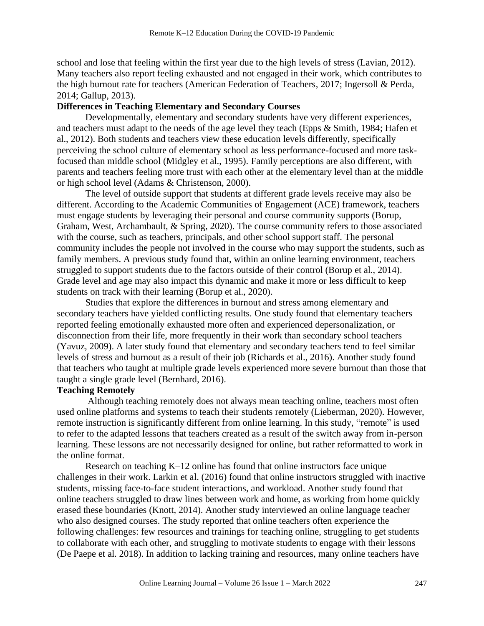school and lose that feeling within the first year due to the high levels of stress (Lavian, 2012). Many teachers also report feeling exhausted and not engaged in their work, which contributes to the high burnout rate for teachers (American Federation of Teachers, 2017; Ingersoll & Perda, 2014; Gallup, 2013).

## **Differences in Teaching Elementary and Secondary Courses**

Developmentally, elementary and secondary students have very different experiences, and teachers must adapt to the needs of the age level they teach (Epps & Smith, 1984; Hafen et al., 2012). Both students and teachers view these education levels differently, specifically perceiving the school culture of elementary school as less performance-focused and more taskfocused than middle school (Midgley et al., 1995). Family perceptions are also different, with parents and teachers feeling more trust with each other at the elementary level than at the middle or high school level (Adams & Christenson, 2000).

The level of outside support that students at different grade levels receive may also be different. According to the Academic Communities of Engagement (ACE) framework, teachers must engage students by leveraging their personal and course community supports (Borup, Graham, West, Archambault, & Spring, 2020). The course community refers to those associated with the course, such as teachers, principals, and other school support staff. The personal community includes the people not involved in the course who may support the students, such as family members. A previous study found that, within an online learning environment, teachers struggled to support students due to the factors outside of their control (Borup et al., 2014). Grade level and age may also impact this dynamic and make it more or less difficult to keep students on track with their learning (Borup et al., 2020).

Studies that explore the differences in burnout and stress among elementary and secondary teachers have yielded conflicting results. One study found that elementary teachers reported feeling emotionally exhausted more often and experienced depersonalization, or disconnection from their life, more frequently in their work than secondary school teachers (Yavuz, 2009). A later study found that elementary and secondary teachers tend to feel similar levels of stress and burnout as a result of their job (Richards et al., 2016). Another study found that teachers who taught at multiple grade levels experienced more severe burnout than those that taught a single grade level (Bernhard, 2016).

## **Teaching Remotely**

Although teaching remotely does not always mean teaching online, teachers most often used online platforms and systems to teach their students remotely (Lieberman, 2020). However, remote instruction is significantly different from online learning. In this study, "remote" is used to refer to the adapted lessons that teachers created as a result of the switch away from in-person learning. These lessons are not necessarily designed for online, but rather reformatted to work in the online format.

Research on teaching K–12 online has found that online instructors face unique challenges in their work. Larkin et al. (2016) found that online instructors struggled with inactive students, missing face-to-face student interactions, and workload. Another study found that online teachers struggled to draw lines between work and home, as working from home quickly erased these boundaries (Knott, 2014). Another study interviewed an online language teacher who also designed courses. The study reported that online teachers often experience the following challenges: few resources and trainings for teaching online, struggling to get students to collaborate with each other, and struggling to motivate students to engage with their lessons (De Paepe et al. 2018). In addition to lacking training and resources, many online teachers have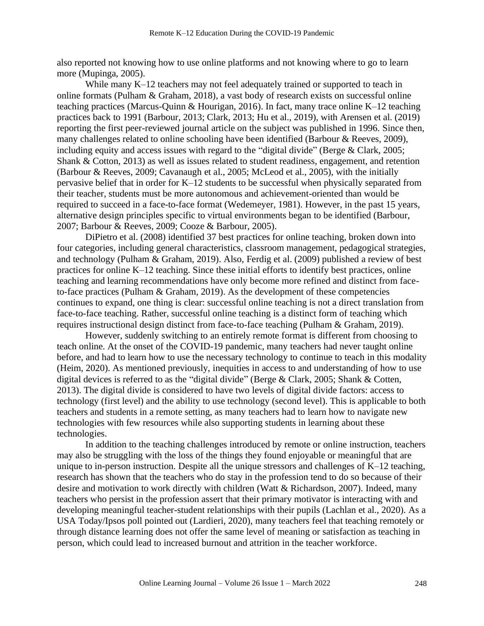also reported not knowing how to use online platforms and not knowing where to go to learn more (Mupinga, 2005).

While many K–12 teachers may not feel adequately trained or supported to teach in online formats (Pulham & Graham, 2018), a vast body of research exists on successful online teaching practices (Marcus-Quinn & Hourigan, 2016). In fact, many trace online K–12 teaching practices back to 1991 (Barbour, 2013; Clark, 2013; Hu et al., 2019), with Arensen et al. (2019) reporting the first peer-reviewed journal article on the subject was published in 1996. Since then, many challenges related to online schooling have been identified (Barbour & Reeves, 2009), including equity and access issues with regard to the "digital divide" (Berge & Clark, 2005; Shank & Cotton, 2013) as well as issues related to student readiness, engagement, and retention (Barbour & Reeves, 2009; Cavanaugh et al., 2005; McLeod et al., 2005), with the initially pervasive belief that in order for K–12 students to be successful when physically separated from their teacher, students must be more autonomous and achievement-oriented than would be required to succeed in a face-to-face format (Wedemeyer, 1981). However, in the past 15 years, alternative design principles specific to virtual environments began to be identified (Barbour, 2007; Barbour & Reeves, 2009; Cooze & Barbour, 2005).

DiPietro et al. (2008) identified 37 best practices for online teaching, broken down into four categories, including general characteristics, classroom management, pedagogical strategies, and technology (Pulham & Graham, 2019). Also, Ferdig et al. (2009) published a review of best practices for online K–12 teaching. Since these initial efforts to identify best practices, online teaching and learning recommendations have only become more refined and distinct from faceto-face practices (Pulham & Graham, 2019). As the development of these competencies continues to expand, one thing is clear: successful online teaching is not a direct translation from face-to-face teaching. Rather, successful online teaching is a distinct form of teaching which requires instructional design distinct from face-to-face teaching (Pulham & Graham, 2019).

However, suddenly switching to an entirely remote format is different from choosing to teach online. At the onset of the COVID-19 pandemic, many teachers had never taught online before, and had to learn how to use the necessary technology to continue to teach in this modality (Heim, 2020). As mentioned previously, inequities in access to and understanding of how to use digital devices is referred to as the "digital divide" (Berge & Clark, 2005; Shank & Cotten, 2013). The digital divide is considered to have two levels of digital divide factors: access to technology (first level) and the ability to use technology (second level). This is applicable to both teachers and students in a remote setting, as many teachers had to learn how to navigate new technologies with few resources while also supporting students in learning about these technologies.

In addition to the teaching challenges introduced by remote or online instruction, teachers may also be struggling with the loss of the things they found enjoyable or meaningful that are unique to in-person instruction. Despite all the unique stressors and challenges of K–12 teaching, research has shown that the teachers who do stay in the profession tend to do so because of their desire and motivation to work directly with children (Watt & Richardson, 2007). Indeed, many teachers who persist in the profession assert that their primary motivator is interacting with and developing meaningful teacher-student relationships with their pupils (Lachlan et al., 2020). As a USA Today/Ipsos poll pointed out (Lardieri, 2020), many teachers feel that teaching remotely or through distance learning does not offer the same level of meaning or satisfaction as teaching in person, which could lead to increased burnout and attrition in the teacher workforce.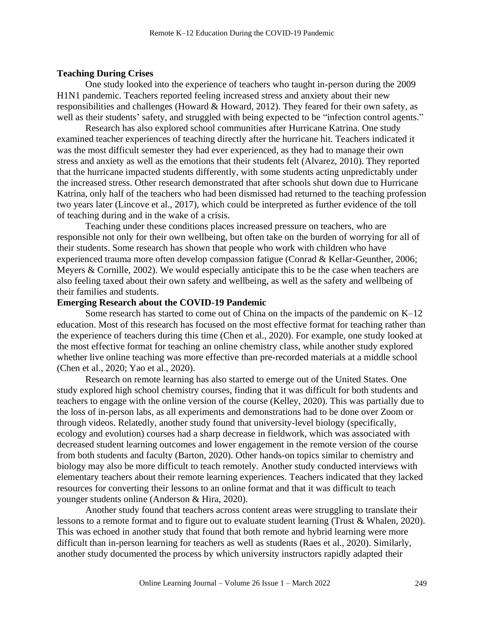## **Teaching During Crises**

One study looked into the experience of teachers who taught in-person during the 2009 H1N1 pandemic. Teachers reported feeling increased stress and anxiety about their new responsibilities and challenges (Howard & Howard, 2012). They feared for their own safety, as well as their students' safety, and struggled with being expected to be "infection control agents."

Research has also explored school communities after Hurricane Katrina. One study examined teacher experiences of teaching directly after the hurricane hit. Teachers indicated it was the most difficult semester they had ever experienced, as they had to manage their own stress and anxiety as well as the emotions that their students felt (Alvarez, 2010). They reported that the hurricane impacted students differently, with some students acting unpredictably under the increased stress. Other research demonstrated that after schools shut down due to Hurricane Katrina, only half of the teachers who had been dismissed had returned to the teaching profession two years later (Lincove et al., 2017), which could be interpreted as further evidence of the toll of teaching during and in the wake of a crisis.

Teaching under these conditions places increased pressure on teachers, who are responsible not only for their own wellbeing, but often take on the burden of worrying for all of their students. Some research has shown that people who work with children who have experienced trauma more often develop compassion fatigue (Conrad & Kellar-Geunther, 2006; Meyers & Cornille, 2002). We would especially anticipate this to be the case when teachers are also feeling taxed about their own safety and wellbeing, as well as the safety and wellbeing of their families and students.

#### **Emerging Research about the COVID-19 Pandemic**

Some research has started to come out of China on the impacts of the pandemic on K–12 education. Most of this research has focused on the most effective format for teaching rather than the experience of teachers during this time (Chen et al., 2020). For example, one study looked at the most effective format for teaching an online chemistry class, while another study explored whether live online teaching was more effective than pre-recorded materials at a middle school (Chen et al., 2020; Yao et al., 2020).

Research on remote learning has also started to emerge out of the United States. One study explored high school chemistry courses, finding that it was difficult for both students and teachers to engage with the online version of the course (Kelley, 2020). This was partially due to the loss of in-person labs, as all experiments and demonstrations had to be done over Zoom or through videos. Relatedly, another study found that university-level biology (specifically, ecology and evolution) courses had a sharp decrease in fieldwork, which was associated with decreased student learning outcomes and lower engagement in the remote version of the course from both students and faculty (Barton, 2020). Other hands-on topics similar to chemistry and biology may also be more difficult to teach remotely. Another study conducted interviews with elementary teachers about their remote learning experiences. Teachers indicated that they lacked resources for converting their lessons to an online format and that it was difficult to teach younger students online (Anderson & Hira, 2020).

Another study found that teachers across content areas were struggling to translate their lessons to a remote format and to figure out to evaluate student learning (Trust & Whalen, 2020). This was echoed in another study that found that both remote and hybrid learning were more difficult than in-person learning for teachers as well as students (Raes et al., 2020). Similarly, another study documented the process by which university instructors rapidly adapted their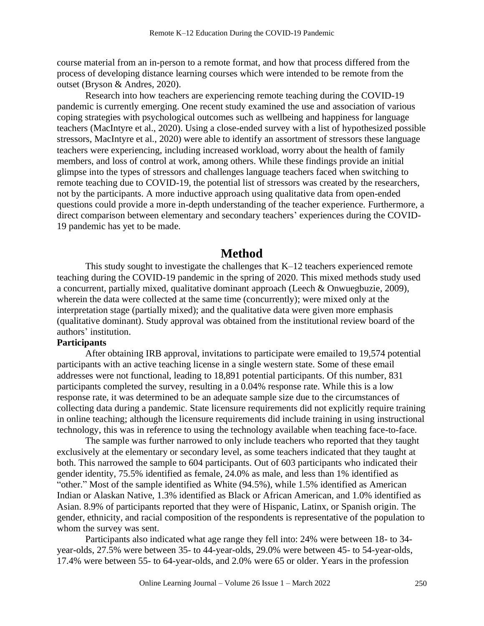course material from an in-person to a remote format, and how that process differed from the process of developing distance learning courses which were intended to be remote from the outset (Bryson & Andres, 2020).

Research into how teachers are experiencing remote teaching during the COVID-19 pandemic is currently emerging. One recent study examined the use and association of various coping strategies with psychological outcomes such as wellbeing and happiness for language teachers (MacIntyre et al., 2020). Using a close-ended survey with a list of hypothesized possible stressors, MacIntyre et al., 2020) were able to identify an assortment of stressors these language teachers were experiencing, including increased workload, worry about the health of family members, and loss of control at work, among others. While these findings provide an initial glimpse into the types of stressors and challenges language teachers faced when switching to remote teaching due to COVID-19, the potential list of stressors was created by the researchers, not by the participants. A more inductive approach using qualitative data from open-ended questions could provide a more in-depth understanding of the teacher experience. Furthermore, a direct comparison between elementary and secondary teachers' experiences during the COVID-19 pandemic has yet to be made.

## **Method**

This study sought to investigate the challenges that K–12 teachers experienced remote teaching during the COVID-19 pandemic in the spring of 2020. This mixed methods study used a concurrent, partially mixed, qualitative dominant approach (Leech & Onwuegbuzie, 2009), wherein the data were collected at the same time (concurrently); were mixed only at the interpretation stage (partially mixed); and the qualitative data were given more emphasis (qualitative dominant). Study approval was obtained from the institutional review board of the authors' institution.

#### **Participants**

After obtaining IRB approval, invitations to participate were emailed to 19,574 potential participants with an active teaching license in a single western state. Some of these email addresses were not functional, leading to 18,891 potential participants. Of this number, 831 participants completed the survey, resulting in a 0.04% response rate. While this is a low response rate, it was determined to be an adequate sample size due to the circumstances of collecting data during a pandemic. State licensure requirements did not explicitly require training in online teaching; although the licensure requirements did include training in using instructional technology, this was in reference to using the technology available when teaching face-to-face.

The sample was further narrowed to only include teachers who reported that they taught exclusively at the elementary or secondary level, as some teachers indicated that they taught at both. This narrowed the sample to 604 participants. Out of 603 participants who indicated their gender identity, 75.5% identified as female, 24.0% as male, and less than 1% identified as "other." Most of the sample identified as White (94.5%), while 1.5% identified as American Indian or Alaskan Native, 1.3% identified as Black or African American, and 1.0% identified as Asian. 8.9% of participants reported that they were of Hispanic, Latinx, or Spanish origin. The gender, ethnicity, and racial composition of the respondents is representative of the population to whom the survey was sent.

Participants also indicated what age range they fell into: 24% were between 18- to 34 year-olds, 27.5% were between 35- to 44-year-olds, 29.0% were between 45- to 54-year-olds, 17.4% were between 55- to 64-year-olds, and 2.0% were 65 or older. Years in the profession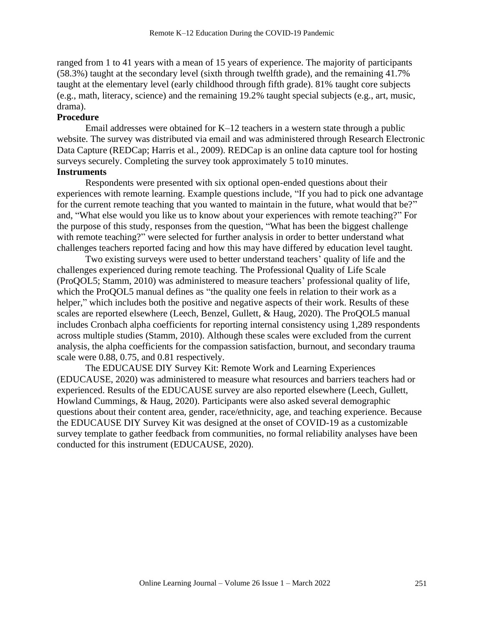ranged from 1 to 41 years with a mean of 15 years of experience. The majority of participants (58.3%) taught at the secondary level (sixth through twelfth grade), and the remaining 41.7% taught at the elementary level (early childhood through fifth grade). 81% taught core subjects (e.g., math, literacy, science) and the remaining 19.2% taught special subjects (e.g., art, music, drama).

## **Procedure**

Email addresses were obtained for K–12 teachers in a western state through a public website. The survey was distributed via email and was administered through Research Electronic Data Capture (REDCap; Harris et al., 2009). REDCap is an online data capture tool for hosting surveys securely. Completing the survey took approximately 5 to10 minutes. **Instruments**

 Respondents were presented with six optional open-ended questions about their experiences with remote learning. Example questions include, "If you had to pick one advantage for the current remote teaching that you wanted to maintain in the future, what would that be?" and, "What else would you like us to know about your experiences with remote teaching?" For the purpose of this study, responses from the question, "What has been the biggest challenge with remote teaching?" were selected for further analysis in order to better understand what challenges teachers reported facing and how this may have differed by education level taught.

Two existing surveys were used to better understand teachers' quality of life and the challenges experienced during remote teaching. The Professional Quality of Life Scale (ProQOL5; Stamm, 2010) was administered to measure teachers' professional quality of life, which the ProQOL5 manual defines as "the quality one feels in relation to their work as a helper," which includes both the positive and negative aspects of their work. Results of these scales are reported elsewhere (Leech, Benzel, Gullett, & Haug, 2020). The ProQOL5 manual includes Cronbach alpha coefficients for reporting internal consistency using 1,289 respondents across multiple studies (Stamm, 2010). Although these scales were excluded from the current analysis, the alpha coefficients for the compassion satisfaction, burnout, and secondary trauma scale were 0.88, 0.75, and 0.81 respectively.

The EDUCAUSE DIY Survey Kit: Remote Work and Learning Experiences (EDUCAUSE, 2020) was administered to measure what resources and barriers teachers had or experienced. Results of the EDUCAUSE survey are also reported elsewhere (Leech, Gullett, Howland Cummings, & Haug, 2020). Participants were also asked several demographic questions about their content area, gender, race/ethnicity, age, and teaching experience. Because the EDUCAUSE DIY Survey Kit was designed at the onset of COVID-19 as a customizable survey template to gather feedback from communities, no formal reliability analyses have been conducted for this instrument (EDUCAUSE, 2020).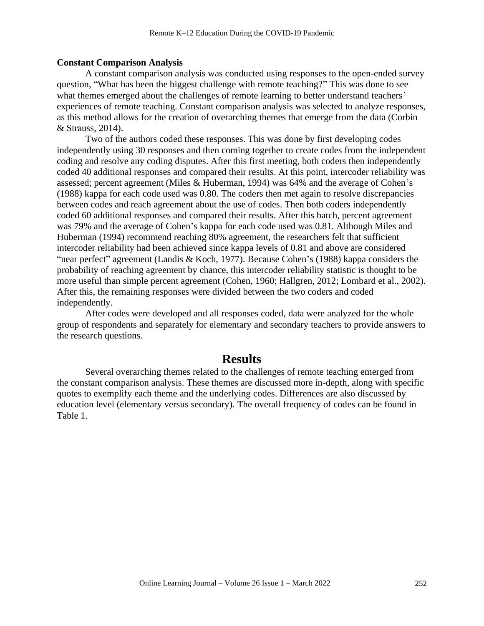#### **Constant Comparison Analysis**

A constant comparison analysis was conducted using responses to the open-ended survey question, "What has been the biggest challenge with remote teaching?" This was done to see what themes emerged about the challenges of remote learning to better understand teachers' experiences of remote teaching. Constant comparison analysis was selected to analyze responses, as this method allows for the creation of overarching themes that emerge from the data (Corbin & Strauss, 2014).

Two of the authors coded these responses. This was done by first developing codes independently using 30 responses and then coming together to create codes from the independent coding and resolve any coding disputes. After this first meeting, both coders then independently coded 40 additional responses and compared their results. At this point, intercoder reliability was assessed; percent agreement (Miles & Huberman, 1994) was 64% and the average of Cohen's (1988) kappa for each code used was 0.80. The coders then met again to resolve discrepancies between codes and reach agreement about the use of codes. Then both coders independently coded 60 additional responses and compared their results. After this batch, percent agreement was 79% and the average of Cohen's kappa for each code used was 0.81. Although Miles and Huberman (1994) recommend reaching 80% agreement, the researchers felt that sufficient intercoder reliability had been achieved since kappa levels of 0.81 and above are considered "near perfect" agreement (Landis & Koch, 1977). Because Cohen's (1988) kappa considers the probability of reaching agreement by chance, this intercoder reliability statistic is thought to be more useful than simple percent agreement (Cohen, 1960; Hallgren, 2012; Lombard et al., 2002). After this, the remaining responses were divided between the two coders and coded independently.

After codes were developed and all responses coded, data were analyzed for the whole group of respondents and separately for elementary and secondary teachers to provide answers to the research questions.

# **Results**

Several overarching themes related to the challenges of remote teaching emerged from the constant comparison analysis. These themes are discussed more in-depth, along with specific quotes to exemplify each theme and the underlying codes. Differences are also discussed by education level (elementary versus secondary). The overall frequency of codes can be found in Table 1.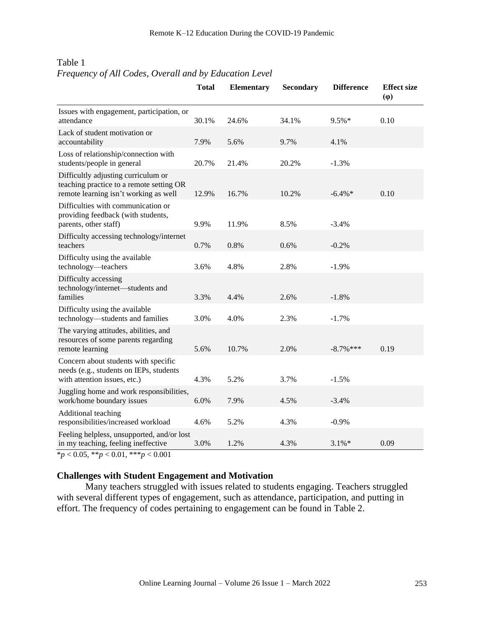|                                                                                                                          | <b>Total</b> | <b>Elementary</b> | <b>Secondary</b> | <b>Difference</b> | <b>Effect size</b><br>$(\varphi)$ |
|--------------------------------------------------------------------------------------------------------------------------|--------------|-------------------|------------------|-------------------|-----------------------------------|
| Issues with engagement, participation, or<br>attendance                                                                  | 30.1%        | 24.6%             | 34.1%            | 9.5%*             | 0.10                              |
| Lack of student motivation or<br>accountability                                                                          | 7.9%         | 5.6%              | 9.7%             | 4.1%              |                                   |
| Loss of relationship/connection with<br>students/people in general                                                       | 20.7%        | 21.4%             | 20.2%            | $-1.3%$           |                                   |
| Difficultly adjusting curriculum or<br>teaching practice to a remote setting OR<br>remote learning isn't working as well | 12.9%        | 16.7%             | 10.2%            | $-6.4\%*$         | 0.10                              |
| Difficulties with communication or<br>providing feedback (with students,<br>parents, other staff)                        | 9.9%         | 11.9%             | 8.5%             | $-3.4%$           |                                   |
| Difficulty accessing technology/internet<br>teachers                                                                     | 0.7%         | 0.8%              | 0.6%             | $-0.2%$           |                                   |
| Difficulty using the available<br>technology—teachers                                                                    | 3.6%         | 4.8%              | 2.8%             | $-1.9%$           |                                   |
| Difficulty accessing<br>technology/internet-students and<br>families                                                     | 3.3%         | 4.4%              | 2.6%             | $-1.8%$           |                                   |
| Difficulty using the available<br>technology-students and families                                                       | 3.0%         | 4.0%              | 2.3%             | $-1.7%$           |                                   |
| The varying attitudes, abilities, and<br>resources of some parents regarding<br>remote learning                          | 5.6%         | 10.7%             | 2.0%             | $-8.7\%$ ***      | 0.19                              |
| Concern about students with specific<br>needs (e.g., students on IEPs, students<br>with attention issues, etc.)          | 4.3%         | 5.2%              | 3.7%             | $-1.5%$           |                                   |
| Juggling home and work responsibilities,<br>work/home boundary issues                                                    | 6.0%         | 7.9%              | 4.5%             | $-3.4%$           |                                   |
| Additional teaching<br>responsibilities/increased workload                                                               | 4.6%         | 5.2%              | 4.3%             | $-0.9%$           |                                   |
| Feeling helpless, unsupported, and/or lost<br>in my teaching, feeling ineffective                                        | 3.0%         | 1.2%              | 4.3%             | $3.1\%*$          | 0.09                              |

## Table 1 *Frequency of All Codes, Overall and by Education Level*

\**p* < 0.05, \*\**p* < 0.01, \*\*\**p* < 0.001

## **Challenges with Student Engagement and Motivation**

Many teachers struggled with issues related to students engaging. Teachers struggled with several different types of engagement, such as attendance, participation, and putting in effort. The frequency of codes pertaining to engagement can be found in Table 2.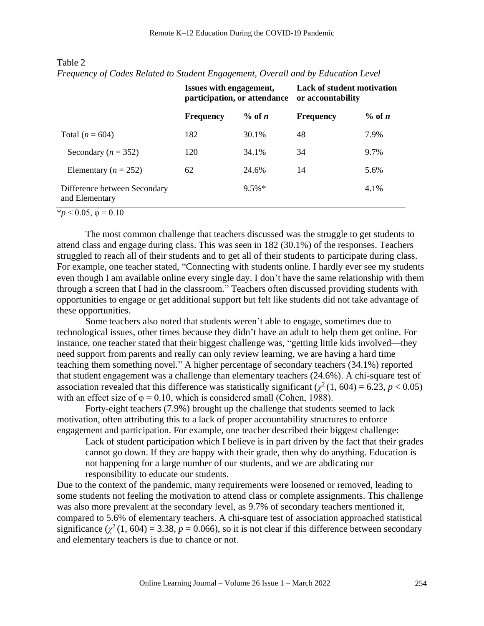|                                                | Issues with engagement, | participation, or attendance | <b>Lack of student motivation</b><br>or accountability |           |  |
|------------------------------------------------|-------------------------|------------------------------|--------------------------------------------------------|-----------|--|
|                                                | <b>Frequency</b>        | $\%$ of n                    | <b>Frequency</b>                                       | $\%$ of n |  |
| Total ( $n = 604$ )                            | 182                     | 30.1%                        | 48                                                     | 7.9%      |  |
| Secondary ( $n = 352$ )                        | 120                     | 34.1%                        | 34                                                     | 9.7%      |  |
| Elementary ( $n = 252$ )                       | 62                      | 24.6%                        | 14                                                     | 5.6%      |  |
| Difference between Secondary<br>and Elementary |                         | $9.5\%*$                     |                                                        | 4.1%      |  |

## Table 2

*Frequency of Codes Related to Student Engagement, Overall and by Education Level*

 $*_{p}$  < 0.05,  $\varphi$  = 0.10

The most common challenge that teachers discussed was the struggle to get students to attend class and engage during class. This was seen in 182 (30.1%) of the responses. Teachers struggled to reach all of their students and to get all of their students to participate during class. For example, one teacher stated, "Connecting with students online. I hardly ever see my students even though I am available online every single day. I don't have the same relationship with them through a screen that I had in the classroom." Teachers often discussed providing students with opportunities to engage or get additional support but felt like students did not take advantage of these opportunities.

Some teachers also noted that students weren't able to engage, sometimes due to technological issues, other times because they didn't have an adult to help them get online. For instance, one teacher stated that their biggest challenge was, "getting little kids involved—they need support from parents and really can only review learning, we are having a hard time teaching them something novel." A higher percentage of secondary teachers (34.1%) reported that student engagement was a challenge than elementary teachers (24.6%). A chi-square test of association revealed that this difference was statistically significant ( $\chi^2$  (1, 604) = 6.23, *p* < 0.05) with an effect size of  $\varphi = 0.10$ , which is considered small (Cohen, 1988).

Forty-eight teachers (7.9%) brought up the challenge that students seemed to lack motivation, often attributing this to a lack of proper accountability structures to enforce engagement and participation. For example, one teacher described their biggest challenge:

Lack of student participation which I believe is in part driven by the fact that their grades cannot go down. If they are happy with their grade, then why do anything. Education is not happening for a large number of our students, and we are abdicating our responsibility to educate our students.

Due to the context of the pandemic, many requirements were loosened or removed, leading to some students not feeling the motivation to attend class or complete assignments. This challenge was also more prevalent at the secondary level, as 9.7% of secondary teachers mentioned it, compared to 5.6% of elementary teachers. A chi-square test of association approached statistical significance  $(\chi^2(1, 604) = 3.38, p = 0.066)$ , so it is not clear if this difference between secondary and elementary teachers is due to chance or not.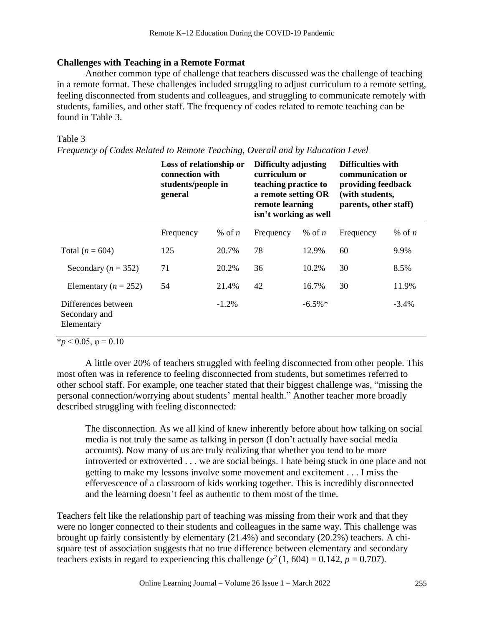## **Challenges with Teaching in a Remote Format**

Another common type of challenge that teachers discussed was the challenge of teaching in a remote format. These challenges included struggling to adjust curriculum to a remote setting, feeling disconnected from students and colleagues, and struggling to communicate remotely with students, families, and other staff. The frequency of codes related to remote teaching can be found in Table 3.

## Table 3

*Frequency of Codes Related to Remote Teaching, Overall and by Education Level*

|                                                    | Loss of relationship or<br>connection with<br>students/people in<br>general |          | Difficulty adjusting<br>curriculum or<br>teaching practice to<br>a remote setting OR<br>remote learning<br>isn't working as well |            | <b>Difficulties with</b><br>communication or<br>providing feedback<br>(with students,<br>parents, other staff) |          |
|----------------------------------------------------|-----------------------------------------------------------------------------|----------|----------------------------------------------------------------------------------------------------------------------------------|------------|----------------------------------------------------------------------------------------------------------------|----------|
|                                                    | Frequency                                                                   | % of $n$ | Frequency                                                                                                                        | % of $n$   | Frequency                                                                                                      | % of $n$ |
| Total ( $n = 604$ )                                | 125                                                                         | 20.7%    | 78                                                                                                                               | 12.9%      | 60                                                                                                             | 9.9%     |
| Secondary ( $n = 352$ )                            | 71                                                                          | 20.2%    | 36                                                                                                                               | 10.2%      | 30                                                                                                             | 8.5%     |
| Elementary ( $n = 252$ )                           | 54                                                                          | 21.4%    | 42                                                                                                                               | 16.7%      | 30                                                                                                             | 11.9%    |
| Differences between<br>Secondary and<br>Elementary |                                                                             | $-1.2\%$ |                                                                                                                                  | $-6.5\%$ * |                                                                                                                | $-3.4%$  |

 $\overline{*p}$  < 0.05,  $\varphi$  = 0.10

A little over 20% of teachers struggled with feeling disconnected from other people. This most often was in reference to feeling disconnected from students, but sometimes referred to other school staff. For example, one teacher stated that their biggest challenge was, "missing the personal connection/worrying about students' mental health." Another teacher more broadly described struggling with feeling disconnected:

The disconnection. As we all kind of knew inherently before about how talking on social media is not truly the same as talking in person (I don't actually have social media accounts). Now many of us are truly realizing that whether you tend to be more introverted or extroverted . . . we are social beings. I hate being stuck in one place and not getting to make my lessons involve some movement and excitement . . . I miss the effervescence of a classroom of kids working together. This is incredibly disconnected and the learning doesn't feel as authentic to them most of the time.

Teachers felt like the relationship part of teaching was missing from their work and that they were no longer connected to their students and colleagues in the same way. This challenge was brought up fairly consistently by elementary (21.4%) and secondary (20.2%) teachers. A chisquare test of association suggests that no true difference between elementary and secondary teachers exists in regard to experiencing this challenge  $(\chi^2(1, 604) = 0.142, p = 0.707)$ .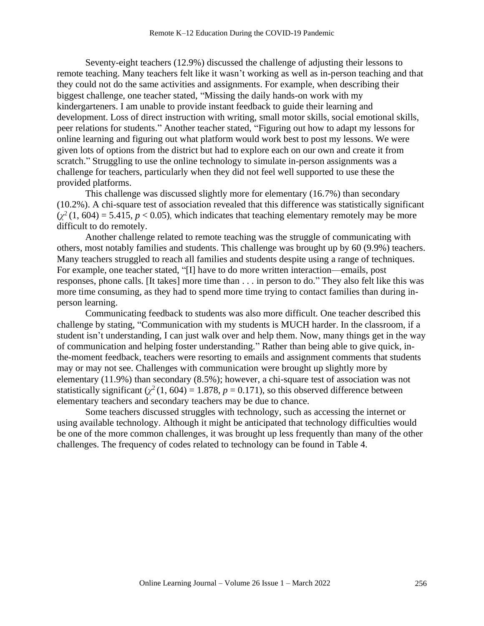Seventy-eight teachers (12.9%) discussed the challenge of adjusting their lessons to remote teaching. Many teachers felt like it wasn't working as well as in-person teaching and that they could not do the same activities and assignments. For example, when describing their biggest challenge, one teacher stated, "Missing the daily hands-on work with my kindergarteners. I am unable to provide instant feedback to guide their learning and development. Loss of direct instruction with writing, small motor skills, social emotional skills, peer relations for students." Another teacher stated, "Figuring out how to adapt my lessons for online learning and figuring out what platform would work best to post my lessons. We were given lots of options from the district but had to explore each on our own and create it from scratch." Struggling to use the online technology to simulate in-person assignments was a challenge for teachers, particularly when they did not feel well supported to use these the provided platforms.

This challenge was discussed slightly more for elementary (16.7%) than secondary (10.2%). A chi-square test of association revealed that this difference was statistically significant  $(\chi^2(1, 604) = 5.415, p < 0.05)$ , which indicates that teaching elementary remotely may be more difficult to do remotely.

Another challenge related to remote teaching was the struggle of communicating with others, most notably families and students. This challenge was brought up by 60 (9.9%) teachers. Many teachers struggled to reach all families and students despite using a range of techniques. For example, one teacher stated, "[I] have to do more written interaction—emails, post responses, phone calls. [It takes] more time than . . . in person to do." They also felt like this was more time consuming, as they had to spend more time trying to contact families than during inperson learning.

Communicating feedback to students was also more difficult. One teacher described this challenge by stating, "Communication with my students is MUCH harder. In the classroom, if a student isn't understanding, I can just walk over and help them. Now, many things get in the way of communication and helping foster understanding." Rather than being able to give quick, inthe-moment feedback, teachers were resorting to emails and assignment comments that students may or may not see. Challenges with communication were brought up slightly more by elementary (11.9%) than secondary (8.5%); however, a chi-square test of association was not statistically significant  $(\chi^2(1, 604) = 1.878, p = 0.171)$ , so this observed difference between elementary teachers and secondary teachers may be due to chance.

Some teachers discussed struggles with technology, such as accessing the internet or using available technology. Although it might be anticipated that technology difficulties would be one of the more common challenges, it was brought up less frequently than many of the other challenges. The frequency of codes related to technology can be found in Table 4.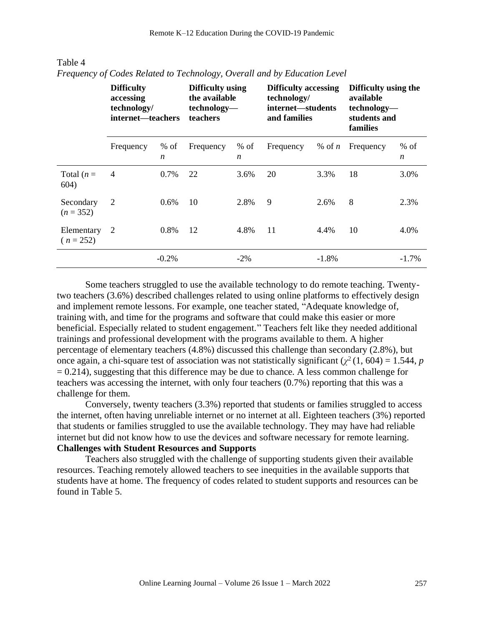|                           | <b>Difficulty</b><br>accessing<br>technology/<br>internet—teachers |                            | Difficulty using<br>the available<br>technology-<br><b>teachers</b> |                            | <b>Difficulty accessing</b><br>technology/<br>internet—students<br>and families |          | Difficulty using the<br>available<br>technology-<br>students and<br>families |                            |
|---------------------------|--------------------------------------------------------------------|----------------------------|---------------------------------------------------------------------|----------------------------|---------------------------------------------------------------------------------|----------|------------------------------------------------------------------------------|----------------------------|
|                           | Frequency                                                          | $%$ of<br>$\boldsymbol{n}$ | Frequency                                                           | $%$ of<br>$\boldsymbol{n}$ | Frequency                                                                       | % of $n$ | Frequency                                                                    | $%$ of<br>$\boldsymbol{n}$ |
| Total $(n=$<br>604)       | $\overline{4}$                                                     | 0.7%                       | 22                                                                  | 3.6%                       | 20                                                                              | 3.3%     | 18                                                                           | 3.0%                       |
| Secondary<br>$(n = 352)$  | 2                                                                  | 0.6%                       | 10                                                                  | 2.8%                       | 9                                                                               | 2.6%     | 8                                                                            | 2.3%                       |
| Elementary<br>$(n = 252)$ | 2                                                                  | 0.8%                       | 12                                                                  | 4.8%                       | 11                                                                              | 4.4%     | 10                                                                           | 4.0%                       |
|                           |                                                                    | $-0.2%$                    |                                                                     | $-2\%$                     |                                                                                 | $-1.8%$  |                                                                              | $-1.7\%$                   |

## Table 4 *Frequency of Codes Related to Technology, Overall and by Education Level*

Some teachers struggled to use the available technology to do remote teaching. Twentytwo teachers (3.6%) described challenges related to using online platforms to effectively design and implement remote lessons. For example, one teacher stated, "Adequate knowledge of, training with, and time for the programs and software that could make this easier or more beneficial. Especially related to student engagement." Teachers felt like they needed additional trainings and professional development with the programs available to them. A higher percentage of elementary teachers (4.8%) discussed this challenge than secondary (2.8%), but once again, a chi-square test of association was not statistically significant  $(\chi^2(1, 604) = 1.544, p$  $= 0.214$ ), suggesting that this difference may be due to chance. A less common challenge for teachers was accessing the internet, with only four teachers (0.7%) reporting that this was a challenge for them.

Conversely, twenty teachers (3.3%) reported that students or families struggled to access the internet, often having unreliable internet or no internet at all. Eighteen teachers (3%) reported that students or families struggled to use the available technology. They may have had reliable internet but did not know how to use the devices and software necessary for remote learning. **Challenges with Student Resources and Supports**

Teachers also struggled with the challenge of supporting students given their available resources. Teaching remotely allowed teachers to see inequities in the available supports that students have at home. The frequency of codes related to student supports and resources can be found in Table 5.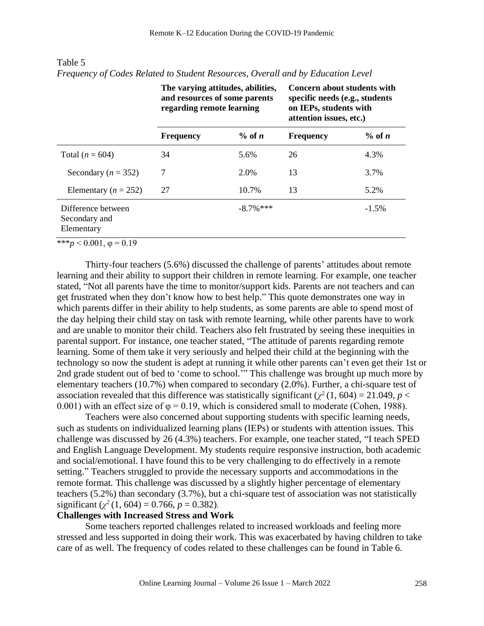|                                                   | The varying attitudes, abilities,<br>and resources of some parents<br>regarding remote learning |              | Concern about students with<br>specific needs (e.g., students<br>on IEPs, students with<br>attention issues, etc.) |           |  |
|---------------------------------------------------|-------------------------------------------------------------------------------------------------|--------------|--------------------------------------------------------------------------------------------------------------------|-----------|--|
|                                                   | <b>Frequency</b>                                                                                | $\%$ of n    | <b>Frequency</b>                                                                                                   | $\%$ of n |  |
| Total ( $n = 604$ )                               | 34                                                                                              | 5.6%         | 26                                                                                                                 | 4.3%      |  |
| Secondary ( $n = 352$ )                           | 7                                                                                               | 2.0%         | 13                                                                                                                 | 3.7%      |  |
| Elementary ( $n = 252$ )                          | 27                                                                                              | 10.7%        | 13                                                                                                                 | 5.2%      |  |
| Difference between<br>Secondary and<br>Elementary |                                                                                                 | $-8.7\%$ *** |                                                                                                                    | $-1.5\%$  |  |

Table 5 *Frequency of Codes Related to Student Resources, Overall and by Education Level*

 $***p<0.001, \varphi=0.19$ 

Thirty-four teachers (5.6%) discussed the challenge of parents' attitudes about remote learning and their ability to support their children in remote learning. For example, one teacher stated, "Not all parents have the time to monitor/support kids. Parents are not teachers and can get frustrated when they don't know how to best help." This quote demonstrates one way in which parents differ in their ability to help students, as some parents are able to spend most of the day helping their child stay on task with remote learning, while other parents have to work and are unable to monitor their child. Teachers also felt frustrated by seeing these inequities in parental support. For instance, one teacher stated, "The attitude of parents regarding remote learning. Some of them take it very seriously and helped their child at the beginning with the technology so now the student is adept at running it while other parents can't even get their 1st or 2nd grade student out of bed to 'come to school.'" This challenge was brought up much more by elementary teachers (10.7%) when compared to secondary (2.0%). Further, a chi-square test of association revealed that this difference was statistically significant ( $\chi^2$  (1, 604) = 21.049, *p* < 0.001) with an effect size of  $\varphi = 0.19$ , which is considered small to moderate (Cohen, 1988).

Teachers were also concerned about supporting students with specific learning needs, such as students on individualized learning plans (IEPs) or students with attention issues. This challenge was discussed by 26 (4.3%) teachers. For example, one teacher stated, "I teach SPED and English Language Development. My students require responsive instruction, both academic and social/emotional. I have found this to be very challenging to do effectively in a remote setting." Teachers struggled to provide the necessary supports and accommodations in the remote format. This challenge was discussed by a slightly higher percentage of elementary teachers (5.2%) than secondary (3.7%), but a chi-square test of association was not statistically significant  $(\chi^2(1, 604) = 0.766, p = 0.382)$ .

## **Challenges with Increased Stress and Work**

Some teachers reported challenges related to increased workloads and feeling more stressed and less supported in doing their work. This was exacerbated by having children to take care of as well. The frequency of codes related to these challenges can be found in Table 6.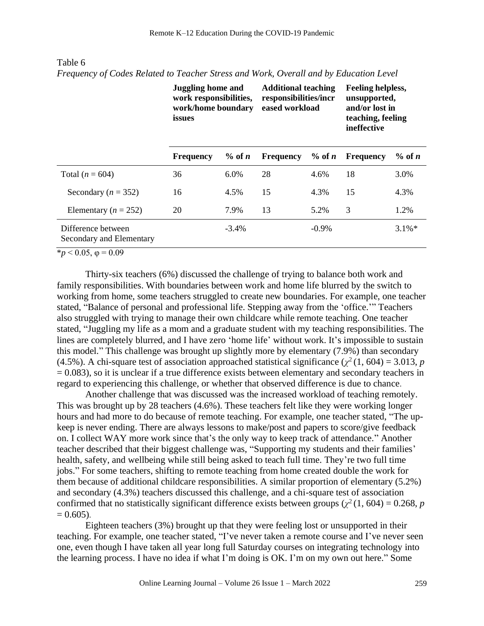|                                                | <b>Juggling home and</b><br>work responsibilities,<br>work/home boundary<br>issues |           | <b>Additional teaching</b><br>responsibilities/incr<br>eased workload |           | <b>Feeling helpless,</b><br>unsupported,<br>and/or lost in<br>teaching, feeling<br>ineffective |           |
|------------------------------------------------|------------------------------------------------------------------------------------|-----------|-----------------------------------------------------------------------|-----------|------------------------------------------------------------------------------------------------|-----------|
|                                                | <b>Frequency</b>                                                                   | $\%$ of n | <b>Frequency</b>                                                      | $\%$ of n | <b>Frequency</b>                                                                               | $\%$ of n |
| Total ( $n = 604$ )                            | 36                                                                                 | 6.0%      | 28                                                                    | 4.6%      | 18                                                                                             | 3.0%      |
| Secondary ( $n = 352$ )                        | 16                                                                                 | 4.5%      | 15                                                                    | 4.3%      | 15                                                                                             | 4.3%      |
| Elementary ( $n = 252$ )                       | 20                                                                                 | 7.9%      | 13                                                                    | 5.2%      | 3                                                                                              | 1.2%      |
| Difference between<br>Secondary and Elementary |                                                                                    | $-3.4%$   |                                                                       | $-0.9\%$  |                                                                                                | $3.1\%$ * |

Table 6 *Frequency of Codes Related to Teacher Stress and Work, Overall and by Education Level*

 $\frac{1}{2}$   $\frac{1}{2}$   $\frac{1}{2}$   $\frac{1}{2}$   $\frac{1}{2}$   $\frac{1}{2}$   $\frac{1}{2}$   $\frac{1}{2}$   $\frac{1}{2}$   $\frac{1}{2}$   $\frac{1}{2}$   $\frac{1}{2}$   $\frac{1}{2}$   $\frac{1}{2}$   $\frac{1}{2}$   $\frac{1}{2}$   $\frac{1}{2}$   $\frac{1}{2}$   $\frac{1}{2}$   $\frac{1}{2}$   $\frac{1}{2}$   $\frac{1}{2}$ 

Thirty-six teachers (6%) discussed the challenge of trying to balance both work and family responsibilities. With boundaries between work and home life blurred by the switch to working from home, some teachers struggled to create new boundaries. For example, one teacher stated, "Balance of personal and professional life. Stepping away from the 'office.'" Teachers also struggled with trying to manage their own childcare while remote teaching. One teacher stated, "Juggling my life as a mom and a graduate student with my teaching responsibilities. The lines are completely blurred, and I have zero 'home life' without work. It's impossible to sustain this model." This challenge was brought up slightly more by elementary (7.9%) than secondary (4.5%). A chi-square test of association approached statistical significance ( $\chi^2$  (1, 604) = 3.013, *p*  $= 0.083$ ), so it is unclear if a true difference exists between elementary and secondary teachers in regard to experiencing this challenge, or whether that observed difference is due to chance.

Another challenge that was discussed was the increased workload of teaching remotely. This was brought up by 28 teachers (4.6%). These teachers felt like they were working longer hours and had more to do because of remote teaching. For example, one teacher stated, "The upkeep is never ending. There are always lessons to make/post and papers to score/give feedback on. I collect WAY more work since that's the only way to keep track of attendance." Another teacher described that their biggest challenge was, "Supporting my students and their families' health, safety, and wellbeing while still being asked to teach full time. They're two full time jobs." For some teachers, shifting to remote teaching from home created double the work for them because of additional childcare responsibilities. A similar proportion of elementary (5.2%) and secondary (4.3%) teachers discussed this challenge, and a chi-square test of association confirmed that no statistically significant difference exists between groups ( $\chi^2$  (1, 604) = 0.268, *p*  $= 0.605$ ).

Eighteen teachers (3%) brought up that they were feeling lost or unsupported in their teaching. For example, one teacher stated, "I've never taken a remote course and I've never seen one, even though I have taken all year long full Saturday courses on integrating technology into the learning process. I have no idea if what I'm doing is OK. I'm on my own out here." Some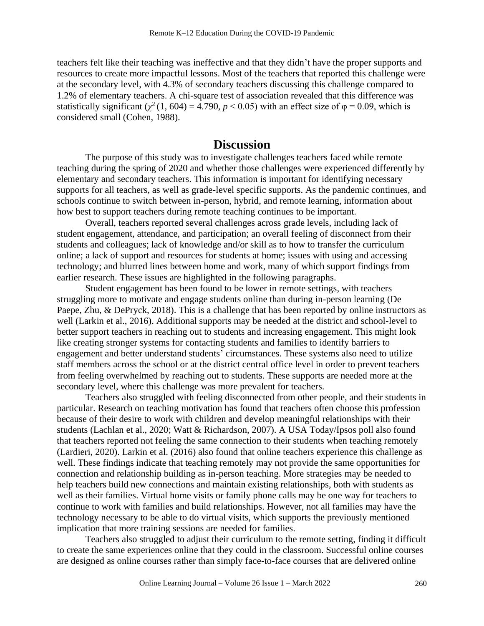teachers felt like their teaching was ineffective and that they didn't have the proper supports and resources to create more impactful lessons. Most of the teachers that reported this challenge were at the secondary level, with 4.3% of secondary teachers discussing this challenge compared to 1.2% of elementary teachers. A chi-square test of association revealed that this difference was statistically significant  $(\chi^2(1, 604) = 4.790, p \le 0.05)$  with an effect size of  $\varphi = 0.09$ , which is considered small (Cohen, 1988).

## **Discussion**

The purpose of this study was to investigate challenges teachers faced while remote teaching during the spring of 2020 and whether those challenges were experienced differently by elementary and secondary teachers. This information is important for identifying necessary supports for all teachers, as well as grade-level specific supports. As the pandemic continues, and schools continue to switch between in-person, hybrid, and remote learning, information about how best to support teachers during remote teaching continues to be important.

Overall, teachers reported several challenges across grade levels, including lack of student engagement, attendance, and participation; an overall feeling of disconnect from their students and colleagues; lack of knowledge and/or skill as to how to transfer the curriculum online; a lack of support and resources for students at home; issues with using and accessing technology; and blurred lines between home and work, many of which support findings from earlier research. These issues are highlighted in the following paragraphs.

Student engagement has been found to be lower in remote settings, with teachers struggling more to motivate and engage students online than during in-person learning (De Paepe, Zhu, & DePryck, 2018). This is a challenge that has been reported by online instructors as well (Larkin et al., 2016). Additional supports may be needed at the district and school-level to better support teachers in reaching out to students and increasing engagement. This might look like creating stronger systems for contacting students and families to identify barriers to engagement and better understand students' circumstances. These systems also need to utilize staff members across the school or at the district central office level in order to prevent teachers from feeling overwhelmed by reaching out to students. These supports are needed more at the secondary level, where this challenge was more prevalent for teachers.

Teachers also struggled with feeling disconnected from other people, and their students in particular. Research on teaching motivation has found that teachers often choose this profession because of their desire to work with children and develop meaningful relationships with their students (Lachlan et al., 2020; Watt & Richardson, 2007). A USA Today/Ipsos poll also found that teachers reported not feeling the same connection to their students when teaching remotely (Lardieri, 2020). Larkin et al. (2016) also found that online teachers experience this challenge as well. These findings indicate that teaching remotely may not provide the same opportunities for connection and relationship building as in-person teaching. More strategies may be needed to help teachers build new connections and maintain existing relationships, both with students as well as their families. Virtual home visits or family phone calls may be one way for teachers to continue to work with families and build relationships. However, not all families may have the technology necessary to be able to do virtual visits, which supports the previously mentioned implication that more training sessions are needed for families.

Teachers also struggled to adjust their curriculum to the remote setting, finding it difficult to create the same experiences online that they could in the classroom. Successful online courses are designed as online courses rather than simply face-to-face courses that are delivered online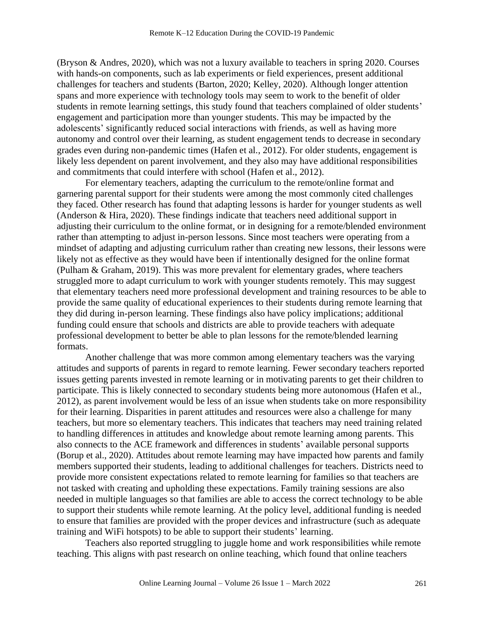(Bryson & Andres, 2020), which was not a luxury available to teachers in spring 2020. Courses with hands-on components, such as lab experiments or field experiences, present additional challenges for teachers and students (Barton, 2020; Kelley, 2020). Although longer attention spans and more experience with technology tools may seem to work to the benefit of older students in remote learning settings, this study found that teachers complained of older students' engagement and participation more than younger students. This may be impacted by the adolescents' significantly reduced social interactions with friends, as well as having more autonomy and control over their learning, as student engagement tends to decrease in secondary grades even during non-pandemic times (Hafen et al., 2012). For older students, engagement is likely less dependent on parent involvement, and they also may have additional responsibilities and commitments that could interfere with school (Hafen et al., 2012).

For elementary teachers, adapting the curriculum to the remote/online format and garnering parental support for their students were among the most commonly cited challenges they faced. Other research has found that adapting lessons is harder for younger students as well (Anderson & Hira, 2020). These findings indicate that teachers need additional support in adjusting their curriculum to the online format, or in designing for a remote/blended environment rather than attempting to adjust in-person lessons. Since most teachers were operating from a mindset of adapting and adjusting curriculum rather than creating new lessons, their lessons were likely not as effective as they would have been if intentionally designed for the online format (Pulham & Graham, 2019). This was more prevalent for elementary grades, where teachers struggled more to adapt curriculum to work with younger students remotely. This may suggest that elementary teachers need more professional development and training resources to be able to provide the same quality of educational experiences to their students during remote learning that they did during in-person learning. These findings also have policy implications; additional funding could ensure that schools and districts are able to provide teachers with adequate professional development to better be able to plan lessons for the remote/blended learning formats.

Another challenge that was more common among elementary teachers was the varying attitudes and supports of parents in regard to remote learning. Fewer secondary teachers reported issues getting parents invested in remote learning or in motivating parents to get their children to participate. This is likely connected to secondary students being more autonomous (Hafen et al., 2012), as parent involvement would be less of an issue when students take on more responsibility for their learning. Disparities in parent attitudes and resources were also a challenge for many teachers, but more so elementary teachers. This indicates that teachers may need training related to handling differences in attitudes and knowledge about remote learning among parents. This also connects to the ACE framework and differences in students' available personal supports (Borup et al., 2020). Attitudes about remote learning may have impacted how parents and family members supported their students, leading to additional challenges for teachers. Districts need to provide more consistent expectations related to remote learning for families so that teachers are not tasked with creating and upholding these expectations. Family training sessions are also needed in multiple languages so that families are able to access the correct technology to be able to support their students while remote learning. At the policy level, additional funding is needed to ensure that families are provided with the proper devices and infrastructure (such as adequate training and WiFi hotspots) to be able to support their students' learning.

Teachers also reported struggling to juggle home and work responsibilities while remote teaching. This aligns with past research on online teaching, which found that online teachers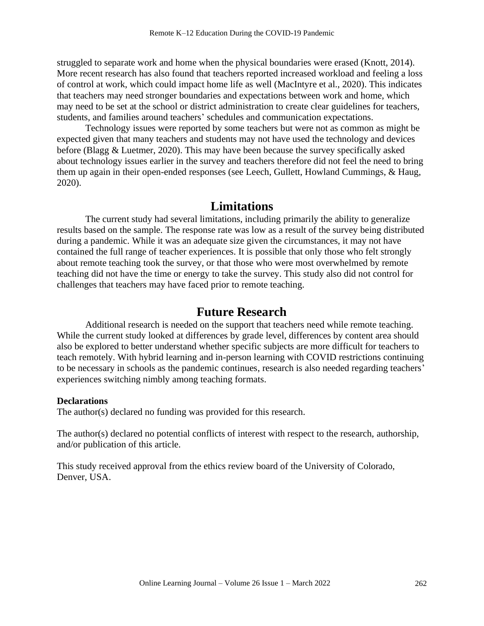struggled to separate work and home when the physical boundaries were erased (Knott, 2014). More recent research has also found that teachers reported increased workload and feeling a loss of control at work, which could impact home life as well (MacIntyre et al., 2020). This indicates that teachers may need stronger boundaries and expectations between work and home, which may need to be set at the school or district administration to create clear guidelines for teachers, students, and families around teachers' schedules and communication expectations.

Technology issues were reported by some teachers but were not as common as might be expected given that many teachers and students may not have used the technology and devices before (Blagg & Luetmer, 2020). This may have been because the survey specifically asked about technology issues earlier in the survey and teachers therefore did not feel the need to bring them up again in their open-ended responses (see Leech, Gullett, Howland Cummings, & Haug, 2020).

# **Limitations**

The current study had several limitations, including primarily the ability to generalize results based on the sample. The response rate was low as a result of the survey being distributed during a pandemic. While it was an adequate size given the circumstances, it may not have contained the full range of teacher experiences. It is possible that only those who felt strongly about remote teaching took the survey, or that those who were most overwhelmed by remote teaching did not have the time or energy to take the survey. This study also did not control for challenges that teachers may have faced prior to remote teaching.

## **Future Research**

Additional research is needed on the support that teachers need while remote teaching. While the current study looked at differences by grade level, differences by content area should also be explored to better understand whether specific subjects are more difficult for teachers to teach remotely. With hybrid learning and in-person learning with COVID restrictions continuing to be necessary in schools as the pandemic continues, research is also needed regarding teachers' experiences switching nimbly among teaching formats.

#### **Declarations**

The author(s) declared no funding was provided for this research.

The author(s) declared no potential conflicts of interest with respect to the research, authorship, and/or publication of this article.

This study received approval from the ethics review board of the University of Colorado, Denver, USA.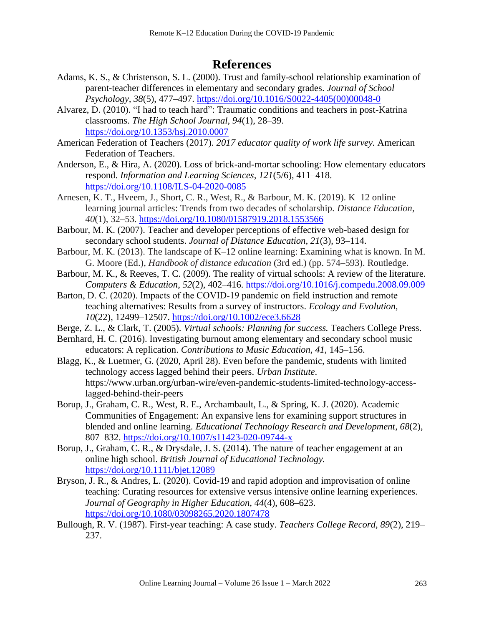# **References**

- Adams, K. S., & Christenson, S. L. (2000). Trust and family-school relationship examination of parent-teacher differences in elementary and secondary grades. *Journal of School Psychology, 38*(5), 477–497. [https://doi.org/10.1016/S0022-4405\(00\)00048-0](https://doi.org/10.1016/S0022-4405(00)00048-0)
- Alvarez, D. (2010). "I had to teach hard": Traumatic conditions and teachers in post-Katrina classrooms. *The High School Journal, 94*(1), 28–39. <https://doi.org/10.1353/hsj.2010.0007>
- American Federation of Teachers (2017). *2017 educator quality of work life survey.* American Federation of Teachers.
- Anderson, E., & Hira, A. (2020). Loss of brick-and-mortar schooling: How elementary educators respond. *Information and Learning Sciences, 121*(5/6), 411–418. <https://doi.org/10.1108/ILS-04-2020-0085>
- Arnesen, K. T., Hveem, J., Short, C. R., West, R., & Barbour, M. K. (2019). K–12 online learning journal articles: Trends from two decades of scholarship. *Distance Education, 40*(1), 32–53. https://doi.org/10.1080/01587919.2018.1553566
- Barbour, M. K. (2007). Teacher and developer perceptions of effective web-based design for secondary school students. *Journal of Distance Education, 21*(3), 93–114.
- Barbour, M. K. (2013). The landscape of K–12 online learning: Examining what is known. In M. G. Moore (Ed.), *Handbook of distance education* (3rd ed.) (pp. 574–593). Routledge.
- Barbour, M. K., & Reeves, T. C. (2009). The reality of virtual schools: A review of the literature. *Computers & Education*, *52*(2), 402–416. https://doi.org/10.1016/j.compedu.2008.09.009
- Barton, D. C. (2020). Impacts of the COVID-19 pandemic on field instruction and remote teaching alternatives: Results from a survey of instructors. *Ecology and Evolution, 10*(22), 12499–12507. https://doi.org/10.1002/ece3.6628
- Berge, Z. L., & Clark, T. (2005). *Virtual schools: Planning for success.* Teachers College Press.
- Bernhard, H. C. (2016). Investigating burnout among elementary and secondary school music educators: A replication. *Contributions to Music Education, 41,* 145–156.
- Blagg, K., & Luetmer, G. (2020, April 28). Even before the pandemic, students with limited technology access lagged behind their peers. *Urban Institute*. https://www.urban.org/urban-wire/even-pandemic-students-limited-technology-accesslagged-behind-their-peers
- Borup, J., Graham, C. R., West, R. E., Archambault, L., & Spring, K. J. (2020). Academic Communities of Engagement: An expansive lens for examining support structures in blended and online learning. *Educational Technology Research and Development*, *68*(2), 807–832.<https://doi.org/10.1007/s11423-020-09744-x>
- Borup, J., Graham, C. R., & Drysdale, J. S. (2014). The nature of teacher engagement at an online high school. *British Journal of Educational Technology.* <https://doi.org/10.1111/bjet.12089>
- Bryson, J. R., & Andres, L. (2020). Covid-19 and rapid adoption and improvisation of online teaching: Curating resources for extensive versus intensive online learning experiences. *Journal of Geography in Higher Education, 44*(4), 608–623. <https://doi.org/10.1080/03098265.2020.1807478>
- Bullough, R. V. (1987). First-year teaching: A case study. *Teachers College Record, 89*(2), 219– 237.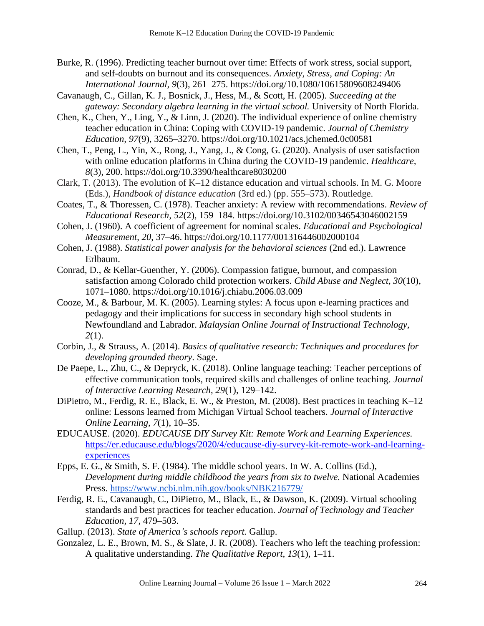Burke, R. (1996). Predicting teacher burnout over time: Effects of work stress, social support, and self-doubts on burnout and its consequences. *Anxiety, Stress, and Coping: An International Journal, 9*(3), 261–275. https://doi.org/10.1080/10615809608249406

Cavanaugh, C., Gillan, K. J., Bosnick, J., Hess, M., & Scott, H. (2005). *Succeeding at the gateway: Secondary algebra learning in the virtual school.* University of North Florida.

Chen, K., Chen, Y., Ling, Y., & Linn, J. (2020). The individual experience of online chemistry teacher education in China: Coping with COVID-19 pandemic. *Journal of Chemistry Education, 97*(9), 3265–3270. https://doi.org/10.1021/acs.jchemed.0c00581

Chen, T., Peng, L., Yin, X., Rong, J., Yang, J., & Cong, G. (2020). Analysis of user satisfaction with online education platforms in China during the COVID-19 pandemic. *Healthcare, 8*(3), 200. https://doi.org/10.3390/healthcare8030200

Clark, T. (2013). The evolution of K–12 distance education and virtual schools. In M. G. Moore (Eds.), *Handbook of distance education* (3rd ed.) (pp. 555–573). Routledge.

Coates, T., & Thoressen, C. (1978). Teacher anxiety: A review with recommendations. *Review of Educational Research, 52*(2), 159–184. https://doi.org/10.3102/00346543046002159

Cohen, J. (1960). A coefficient of agreement for nominal scales. *Educational and Psychological Measurement*, *20*, 37–46. https://doi.org/10.1177/001316446002000104

Cohen, J. (1988). *Statistical power analysis for the behavioral sciences* (2nd ed.). Lawrence Erlbaum.

Conrad, D., & Kellar-Guenther, Y. (2006). Compassion fatigue, burnout, and compassion satisfaction among Colorado child protection workers. *Child Abuse and Neglect, 30*(10), 1071–1080. https://doi.org/10.1016/j.chiabu.2006.03.009

Cooze, M., & Barbour, M. K. (2005). Learning styles: A focus upon e-learning practices and pedagogy and their implications for success in secondary high school students in Newfoundland and Labrador. *Malaysian Online Journal of Instructional Technology, 2*(1).

Corbin, J., & Strauss, A. (2014). *Basics of qualitative research: Techniques and procedures for developing grounded theory*. Sage.

De Paepe, L., Zhu, C., & Depryck, K. (2018). Online language teaching: Teacher perceptions of effective communication tools, required skills and challenges of online teaching. *Journal of Interactive Learning Research, 29*(1), 129–142.

DiPietro, M., Ferdig, R. E., Black, E. W., & Preston, M. (2008). Best practices in teaching K–12 online: Lessons learned from Michigan Virtual School teachers. *Journal of Interactive Online Learning, 7*(1), 10–35.

EDUCAUSE. (2020). *EDUCAUSE DIY Survey Kit: Remote Work and Learning Experiences.*  [https://er.educause.edu/blogs/2020/4/educause-diy-survey-kit-remote-work-and-learning](https://er.educause.edu/blogs/2020/4/educause-diy-survey-kit-remote-work-and-learning-experiences)[experiences](https://er.educause.edu/blogs/2020/4/educause-diy-survey-kit-remote-work-and-learning-experiences)

Epps, E. G., & Smith, S. F. (1984). The middle school years. In W. A. Collins (Ed.), *Development during middle childhood the years from six to twelve.* National Academies Press. https://www.ncbi.nlm.nih.gov/books/NBK216779/

Ferdig, R. E., Cavanaugh, C., DiPietro, M., Black, E., & Dawson, K. (2009). Virtual schooling standards and best practices for teacher education. *Journal of Technology and Teacher Education, 17,* 479–503.

Gallup. (2013). *State of America's schools report.* Gallup.

Gonzalez, L. E., Brown, M. S., & Slate, J. R. (2008). Teachers who left the teaching profession: A qualitative understanding. *The Qualitative Report, 13*(1), 1–11.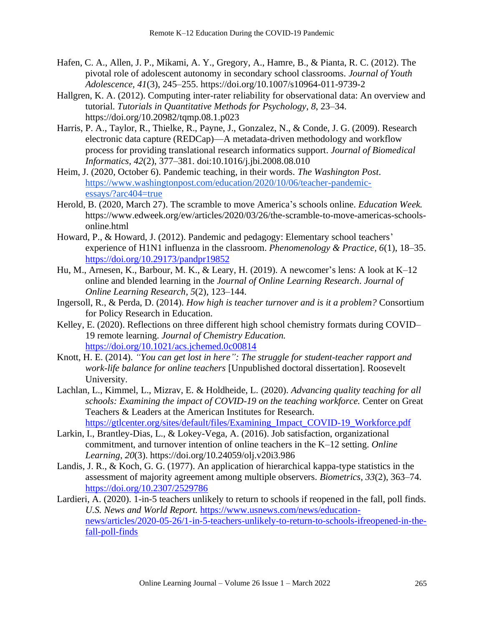- Hafen, C. A., Allen, J. P., Mikami, A. Y., Gregory, A., Hamre, B., & Pianta, R. C. (2012). The pivotal role of adolescent autonomy in secondary school classrooms. *Journal of Youth Adolescence, 41*(3), 245–255. https://doi.org/10.1007/s10964-011-9739-2
- Hallgren, K. A. (2012). Computing inter-rater reliability for observational data: An overview and tutorial. *Tutorials in Quantitative Methods for Psychology*, *8*, 23–34. https://doi.org/10.20982/tqmp.08.1.p023
- Harris, P. A., Taylor, R., Thielke, R., Payne, J., Gonzalez, N., & Conde, J. G. (2009). Research electronic data capture (REDCap)—A metadata-driven methodology and workflow process for providing translational research informatics support. *Journal of Biomedical Informatics, 42*(2), 377–381. doi:10.1016/j.jbi.2008.08.010
- Heim, J. (2020, October 6). Pandemic teaching, in their words. *The Washington Post*. https://www.washingtonpost.com/education/2020/10/06/teacher-pandemicessays/?arc404=true
- Herold, B. (2020, March 27). The scramble to move America's schools online. *Education Week.*  https://www.edweek.org/ew/articles/2020/03/26/the-scramble-to-move-americas-schoolsonline.html
- Howard, P., & Howard, J. (2012). Pandemic and pedagogy: Elementary school teachers' experience of H1N1 influenza in the classroom. *Phenomenology & Practice, 6*(1), 18–35. <https://doi.org/10.29173/pandpr19852>
- Hu, M., Arnesen, K., Barbour, M. K., & Leary, H. (2019). A newcomer's lens: A look at K–12 online and blended learning in the *Journal of Online Learning Research*. *Journal of Online Learning Research*, *5*(2), 123–144.
- Ingersoll, R., & Perda, D. (2014). *How high is teacher turnover and is it a problem?* Consortium for Policy Research in Education.
- Kelley, E. (2020). Reflections on three different high school chemistry formats during COVID– 19 remote learning. *Journal of Chemistry Education.* <https://doi.org/10.1021/acs.jchemed.0c00814>
- Knott, H. E. (2014). *"You can get lost in here": The struggle for student-teacher rapport and work-life balance for online teachers* [Unpublished doctoral dissertation]. Roosevelt University.
- Lachlan, L., Kimmel, L., Mizrav, E. & Holdheide, L. (2020). *Advancing quality teaching for all schools: Examining the impact of COVID-19 on the teaching workforce.* Center on Great Teachers & Leaders at the American Institutes for Research. https://gtlcenter.org/sites/default/files/Examining\_Impact\_COVID-19\_Workforce.pdf
- Larkin, I., Brantley-Dias, L., & Lokey-Vega, A. (2016). Job satisfaction, organizational commitment, and turnover intention of online teachers in the K–12 setting. *Online Learning*, *20*(3). https://doi.org/10.24059/olj.v20i3.986
- Landis, J. R., & Koch, G. G. (1977). An application of hierarchical kappa-type statistics in the assessment of majority agreement among multiple observers. *Biometrics, 33*(2), 363–74. <https://doi.org/10.2307/2529786>
- Lardieri, A. (2020). 1-in-5 teachers unlikely to return to schools if reopened in the fall, poll finds. *U.S. News and World Report.* [https://www.usnews.com/news/education](https://www.usnews.com/news/education-news/articles/2020-05-26/1-in-5-teachers-unlikely-to-return-to-schools-ifreopened-in-the-fall-poll-finds)[news/articles/2020-05-26/1-in-5-teachers-unlikely-to-return-to-schools-ifreopened-in-the](https://www.usnews.com/news/education-news/articles/2020-05-26/1-in-5-teachers-unlikely-to-return-to-schools-ifreopened-in-the-fall-poll-finds)[fall-poll-finds](https://www.usnews.com/news/education-news/articles/2020-05-26/1-in-5-teachers-unlikely-to-return-to-schools-ifreopened-in-the-fall-poll-finds)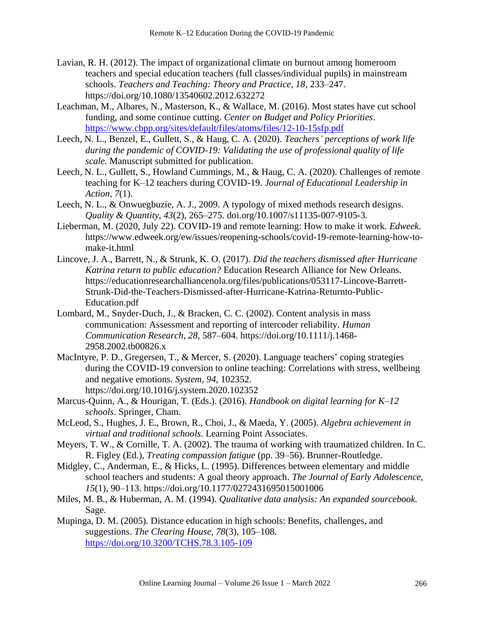- Lavian, R. H. (2012). The impact of organizational climate on burnout among homeroom teachers and special education teachers (full classes/individual pupils) in mainstream schools. *Teachers and Teaching: Theory and Practice, 18*, 233–247. https://doi.org/10.1080/13540602.2012.632272
- Leachman, M., Albares, N., Masterson, K., & Wallace, M. (2016). Most states have cut school funding, and some continue cutting. *Center on Budget and Policy Priorities*. <https://www.cbpp.org/sites/default/files/atoms/files/12-10-15sfp.pdf>
- Leech, N. L., Benzel, E., Gullett, S., & Haug, C. A. (2020). *Teachers' perceptions of work life during the pandemic of COVID-19: Validating the use of professional quality of life scale.* Manuscript submitted for publication.
- Leech, N. L., Gullett, S., Howland Cummings, M., & Haug, C. A. (2020). Challenges of remote teaching for K–12 teachers during COVID-19. *Journal of Educational Leadership in Action, 7*(1).
- Leech, N. L., & Onwuegbuzie, A. J., 2009. A typology of mixed methods research designs. *Quality & Quantity, 43*(2), 265–275. doi.org/10.1007/s11135-007-9105-3.
- Lieberman, M. (2020, July 22). COVID-19 and remote learning: How to make it work. *Edweek*. https://www.edweek.org/ew/issues/reopening-schools/covid-19-remote-learning-how-tomake-it.html
- Lincove, J. A., Barrett, N., & Strunk, K. O. (2017). *Did the teachers dismissed after Hurricane Katrina return to public education?* Education Research Alliance for New Orleans. https://educationresearchalliancenola.org/files/publications/053117-Lincove-Barrett-Strunk-Did-the-Teachers-Dismissed-after-Hurricane-Katrina-Returnto-Public-Education.pdf
- Lombard, M., Snyder-Duch, J., & Bracken, C. C. (2002). Content analysis in mass communication: Assessment and reporting of intercoder reliability. *Human Communication Research*, *28*, 587–604. https://doi.org/10.1111/j.1468- 2958.2002.tb00826.x
- MacIntyre, P. D., Gregersen, T., & Mercer, S. (2020). Language teachers' coping strategies during the COVID-19 conversion to online teaching: Correlations with stress, wellbeing and negative emotions. *System, 94,* 102352. https://doi.org/10.1016/j.system.2020.102352
- Marcus-Quinn, A., & Hourigan, T. (Eds.). (2016). *Handbook on digital learning for K–12 schools*. Springer, Cham.
- McLeod, S., Hughes, J. E., Brown, R., Choi, J., & Maeda, Y. (2005)*. Algebra achievement in virtual and traditional schools.* Learning Point Associates.
- Meyers, T. W., & Cornille, T. A. (2002). The trauma of working with traumatized children. In C. R. Figley (Ed.), *Treating compassion fatigue* (pp. 39–56). Brunner-Routledge.
- Midgley, C., Anderman, E., & Hicks, L. (1995). Differences between elementary and middle school teachers and students: A goal theory approach. *The Journal of Early Adolescence, 15*(1), 90–113. https://doi.org/10.1177/0272431695015001006
- Miles, M. B., & Huberman, A. M. (1994). *Qualitative data analysis: An expanded sourcebook.* Sage.
- Mupinga, D. M. (2005). Distance education in high schools: Benefits, challenges, and suggestions. *The Clearing House, 78*(3), 105–108. <https://doi.org/10.3200/TCHS.78.3.105-109>